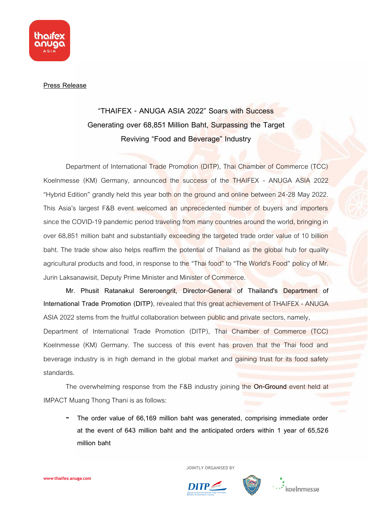

## **Press Release**

## **"THAIFEX - ANUGA ASIA 2022" Soars with Success Generating over 68,851 Million Baht, Surpassing the Target Reviving "Food and Beverage" Industry**

Department of International Trade Promotion (DITP), Thai Chamber of Commerce (TCC) Koelnmesse (KM) Germany, announced the success of the THAIFEX - ANUGA ASIA 2022 "Hybrid Edition" grandly held this year both on the ground and online between 24-28 May 2022. This Asia's largest F&B event welcomed an unprecedented number of buyers and importers since the COVID-19 pandemic period traveling from many countries around the world, bringing in over 68,851 million baht and substantially exceeding the targeted trade order value of 10 billion baht. The trade show also helps reaffirm the potential of Thailand as the global hub for quality agricultural products and food, in response to the "Thai food" to "The World's Food" policy of Mr. Jurin Laksanawisit, Deputy Prime Minister and Minister of Commerce.

**Mr. Phusit Ratanakul Sereroengrit, Director-General of Thailand's Department of International Trade Promotion (DITP)**, revealed that this great achievement of THAIFEX - ANUGA ASIA 2022 stems from the fruitful collaboration between public and private sectors, namely,

Department of International Trade Promotion (DITP), Thai Chamber of Commerce (TCC) Koelnmesse (KM) Germany. The success of this event has proven that the Thai food and beverage industry is in high demand in the global market and gaining trust for its food safety standards.

The overwhelming response from the F&B industry joining the **On-Ground** event held at IMPACT Muang Thong Thani is as follows:

- **The order value of 66,169 million baht was generated, comprising immediate order at the event of 643 million baht and the anticipated orders within 1 year of 65,526 million baht**

 **JOINTLY ORGANISED BY**



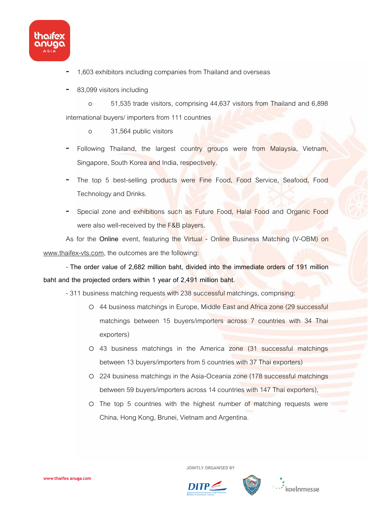

- 1,603 exhibitors including companies from Thailand and overseas
- 83,099 visitors including

o 51,535 trade visitors, comprising 44,637 visitors from Thailand and 6,898 international buyers/ importers from 111 countries

- o 31,564 public visitors
- Following Thailand, the largest country groups were from Malaysia, Vietnam, Singapore, South Korea and India, respectively.
- The top 5 best-selling products were Fine Food, Food Service, Seafood, Food Technology and Drinks.
- Special zone and exhibitions such as Future Food, Halal Food and Organic Food were also well-received by the F&B players.

As for the **Online** event, featuring the Virtual - Online Business Matching (V-OBM) on [www.thaifex-vts.com,](http://www.thaifex-vts.com/) the outcomes are the following:

- **The order value of 2,682 million baht, divided into the immediate orders of 191 million baht and the projected orders within 1 year of 2,491 million baht.**

- 311 business matching requests with 238 successful matchings, comprising:

- o 44 business matchings in Europe, Middle East and Africa zone (29 successful matchings between 15 buyers/importers across 7 countries with 34 Thai exporters)
- o 43 business matchings in the America zone (31 successful matchings between 13 buyers/importers from 5 countries with 37 Thai exporters)
- o 224 business matchings in the Asia-Oceania zone (178 successful matchings between 59 buyers/importers across 14 countries with 147 Thai exporters),
- o The top 5 countries with the highest number of matching requests were China, Hong Kong, Brunei, Vietnam and Argentina.

 **JOINTLY ORGANISED BY**

DITP/



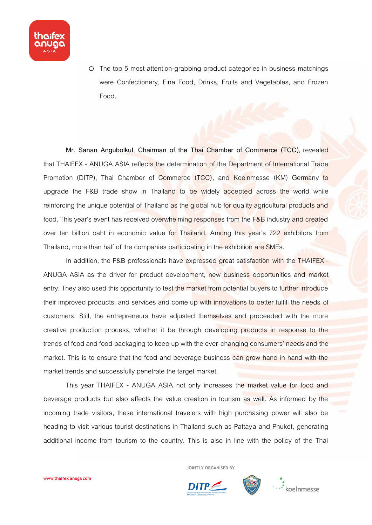

o The top 5 most attention-grabbing product categories in business matchings were Confectionery, Fine Food, Drinks, Fruits and Vegetables, and Frozen Food.

**Mr. Sanan Angubolkul, Chairman of the Thai Chamber of Commerce (TCC)**, revealed that THAIFEX - ANUGA ASIA reflects the determination of the Department of International Trade Promotion (DITP), Thai Chamber of Commerce (TCC), and Koelnmesse (KM) Germany to upgrade the F&B trade show in Thailand to be widely accepted across the world while reinforcing the unique potential of Thailand as the global hub for quality agricultural products and food. This year's event has received overwhelming responses from the F&B industry and created over ten billion baht in economic value for Thailand. Among this year's 722 exhibitors from Thailand, more than half of the companies participating in the exhibition are SMEs.

In addition, the F&B professionals have expressed great satisfaction with the THAIFEX -ANUGA ASIA as the driver for product development, new business opportunities and market entry. They also used this opportunity to test the market from potential buyers to further introduce their improved products, and services and come up with innovations to better fulfill the needs of customers. Still, the entrepreneurs have adjusted themselves and proceeded with the more creative production process, whether it be through developing products in response to the trends of food and food packaging to keep up with the ever-changing consumers' needs and the market. This is to ensure that the food and beverage business can grow hand in hand with the market trends and successfully penetrate the target market.

This year THAIFEX - ANUGA ASIA not only increases the market value for food and beverage products but also affects the value creation in tourism as well. As informed by the incoming trade visitors, these international travelers with high purchasing power will also be heading to visit various tourist destinations in Thailand such as Pattaya and Phuket, generating additional income from tourism to the country. This is also in line with the policy of the Thai

 **JOINTLY ORGANISED BY**